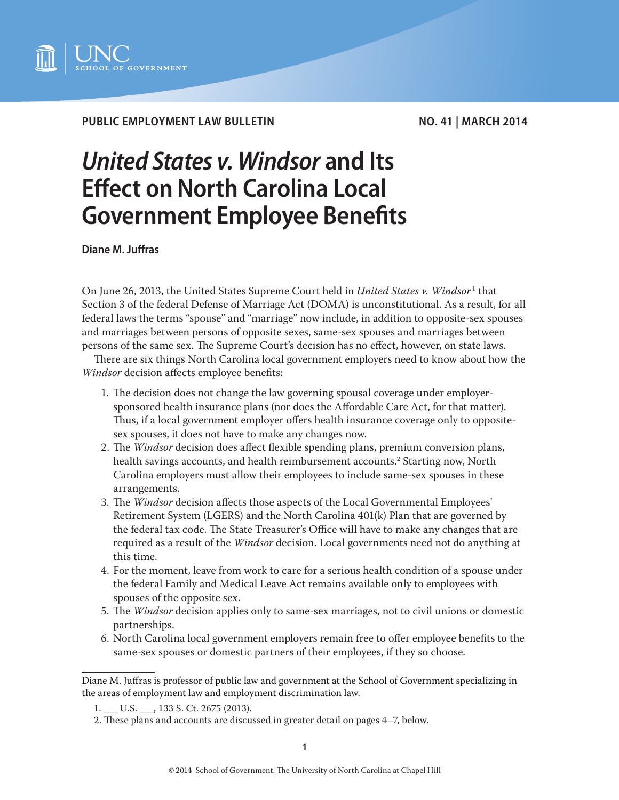

## PUBLIC EMPLOYMENT LAW BULLETIN NO. 41 | MARCH 2014

# *United States v. Windsor* **and Its Effect on North Carolina Local Government Employee Benefits**

**Diane M. Juffras**

On June 26, 2013, the United States Supreme Court held in *United States v. Windsor* 1 that Section 3 of the federal Defense of Marriage Act (DOMA) is unconstitutional. As a result, for all federal laws the terms "spouse" and "marriage" now include, in addition to opposite-sex spouses and marriages between persons of opposite sexes, same-sex spouses and marriages between persons of the same sex. The Supreme Court's decision has no effect, however, on state laws.

There are six things North Carolina local government employers need to know about how the *Windsor* decision affects employee benefits:

- 1. The decision does not change the law governing spousal coverage under employersponsored health insurance plans (nor does the Affordable Care Act, for that matter). Thus, if a local government employer offers health insurance coverage only to oppositesex spouses, it does not have to make any changes now.
- 2. The *Windsor* decision does affect flexible spending plans, premium conversion plans, health savings accounts, and health reimbursement accounts.<sup>2</sup> Starting now, North Carolina employers must allow their employees to include same-sex spouses in these arrangements.
- 3. The *Windsor* decision affects those aspects of the Local Governmental Employees' Retirement System (LGERS) and the North Carolina 401(k) Plan that are governed by the federal tax code. The State Treasurer's Office will have to make any changes that are required as a result of the *Windsor* decision. Local governments need not do anything at this time.
- 4. For the moment, leave from work to care for a serious health condition of a spouse under the federal Family and Medical Leave Act remains available only to employees with spouses of the opposite sex.
- 5. The *Windsor* decision applies only to same-sex marriages, not to civil unions or domestic partnerships.
- 6. North Carolina local government employers remain free to offer employee benefits to the same-sex spouses or domestic partners of their employees, if they so choose.

Diane M. Juffras is professor of public law and government at the School of Government specializing in the areas of employment law and employment discrimination law.

<sup>1.</sup> \_\_\_ U.S. \_\_\_, 133 S. Ct. 2675 (2013).

<sup>2.</sup> These plans and accounts are discussed in greater detail on pages 4–7, below.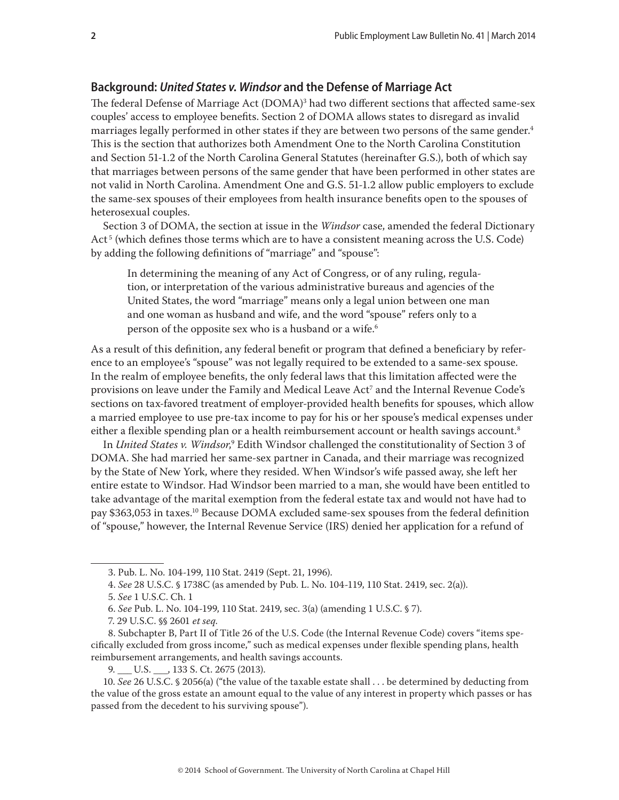## **Background:** *United States v. Windsor* **and the Defense of Marriage Act**

The federal Defense of Marriage Act (DOMA)<sup>3</sup> had two different sections that affected same-sex couples' access to employee benefits. Section 2 of DOMA allows states to disregard as invalid marriages legally performed in other states if they are between two persons of the same gender.<sup>4</sup> This is the section that authorizes both Amendment One to the North Carolina Constitution and Section 51-1.2 of the North Carolina General Statutes (hereinafter G.S.), both of which say that marriages between persons of the same gender that have been performed in other states are not valid in North Carolina. Amendment One and G.S. 51-1.2 allow public employers to exclude the same-sex spouses of their employees from health insurance benefits open to the spouses of heterosexual couples.

Section 3 of DOMA, the section at issue in the *Windsor* case, amended the federal Dictionary Act<sup>5</sup> (which defines those terms which are to have a consistent meaning across the U.S. Code) by adding the following definitions of "marriage" and "spouse":

In determining the meaning of any Act of Congress, or of any ruling, regulation, or interpretation of the various administrative bureaus and agencies of the United States, the word "marriage" means only a legal union between one man and one woman as husband and wife, and the word "spouse" refers only to a person of the opposite sex who is a husband or a wife.<sup>6</sup>

As a result of this definition, any federal benefit or program that defined a beneficiary by reference to an employee's "spouse" was not legally required to be extended to a same-sex spouse. In the realm of employee benefits, the only federal laws that this limitation affected were the provisions on leave under the Family and Medical Leave Act<sup>7</sup> and the Internal Revenue Code's sections on tax-favored treatment of employer-provided health benefits for spouses, which allow a married employee to use pre-tax income to pay for his or her spouse's medical expenses under either a flexible spending plan or a health reimbursement account or health savings account.<sup>8</sup>

In *United States v. Windsor*, $^9$  Edith Windsor challenged the constitutionality of Section 3 of DOMA. She had married her same-sex partner in Canada, and their marriage was recognized by the State of New York, where they resided. When Windsor's wife passed away, she left her entire estate to Windsor. Had Windsor been married to a man, she would have been entitled to take advantage of the marital exemption from the federal estate tax and would not have had to pay \$363,053 in taxes.<sup>10</sup> Because DOMA excluded same-sex spouses from the federal definition of "spouse," however, the Internal Revenue Service (IRS) denied her application for a refund of

<sup>3.</sup> Pub. L. No. 104-199, 110 Stat. 2419 (Sept. 21, 1996).

<sup>4.</sup> *See* 28 U.S.C. § 1738C (as amended by Pub. L. No. 104-119, 110 Stat. 2419, sec. 2(a)).

<sup>5.</sup> *See* 1 U.S.C. Ch. 1

<sup>6.</sup> *See* Pub. L. No. 104-199, 110 Stat. 2419, sec. 3(a) (amending 1 U.S.C. § 7).

<sup>7. 29</sup> U.S.C. §§ 2601 *et seq*.

<sup>8.</sup> Subchapter B, Part II of Title 26 of the U.S. Code (the Internal Revenue Code) covers "items specifically excluded from gross income," such as medical expenses under flexible spending plans, health reimbursement arrangements, and health savings accounts.

<sup>9.</sup> U.S. , 133 S. Ct. 2675 (2013).

<sup>10.</sup> *See* [26 U.S.C. § 2056\(a\)](http://web2.westlaw.com/find/default.wl?mt=MunicipalPrac&db=1000546&rs=WLW14.01&docname=26USCAS2056&rp=%2ffind%2fdefault.wl&findtype=L&ordoc=2030868161&tc=-1&vr=2.0&fn=_top&sv=Split&tf=-1&referencepositiontype=T&pbc=F42B8BC7&referenceposition=SP%3b8b3b0000958a4&utid=1) ("the value of the taxable estate shall . . . be determined by deducting from the value of the gross estate an amount equal to the value of any interest in property which passes or has passed from the decedent to his surviving spouse").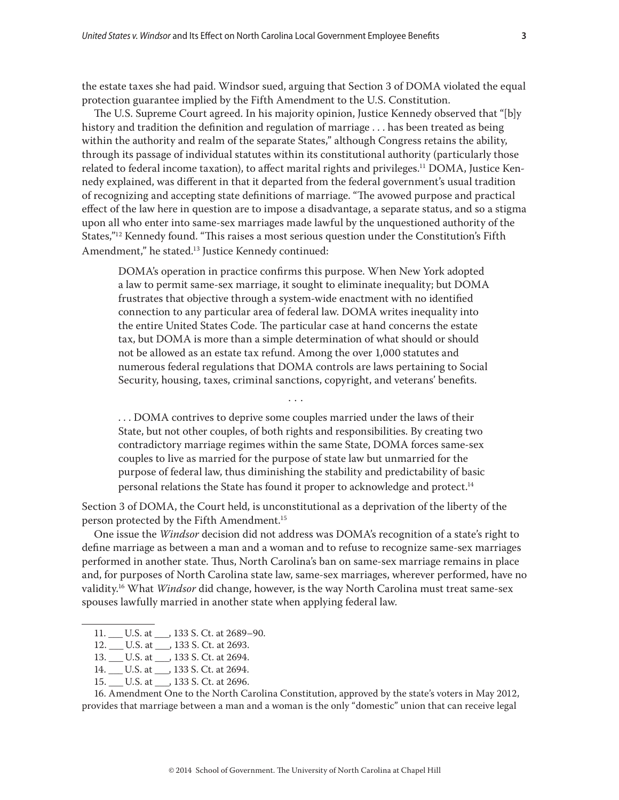the estate taxes she had paid. Windsor sued, arguing that Section 3 of DOMA violated the equal protection guarantee implied by the Fifth Amendment to the U.S. Constitution.

The U.S. Supreme Court agreed. In his majority opinion, Justice Kennedy observed that "[b]y history and tradition the definition and regulation of marriage . . . has been treated as being within the authority and realm of the separate States," although Congress retains the ability, through its passage of individual statutes within its constitutional authority (particularly those related to federal income taxation), to affect marital rights and privileges.11 DOMA, Justice Kennedy explained, was different in that it departed from the federal government's usual tradition of recognizing and accepting state definitions of marriage. "The avowed purpose and practical effect of the law here in question are to impose a disadvantage, a separate status, and so a stigma upon all who enter into same-sex marriages made lawful by the unquestioned authority of the States,"<sup>12</sup> Kennedy found. "This raises a most serious question under the Constitution's Fifth Amendment," he stated.<sup>13</sup> Justice Kennedy continued:

DOMA's operation in practice confirms this purpose. When New York adopted a law to permit same-sex marriage, it sought to eliminate inequality; but DOMA frustrates that objective through a system-wide enactment with no identified connection to any particular area of federal law. DOMA writes inequality into the entire United States Code. The particular case at hand concerns the estate tax, but DOMA is more than a simple determination of what should or should not be allowed as an estate tax refund. Among the over 1,000 statutes and numerous federal regulations that DOMA controls are laws pertaining to Social Security, housing, taxes, criminal sanctions, copyright, and veterans' benefits.

. . . DOMA contrives to deprive some couples married under the laws of their State, but not other couples, of both rights and responsibilities. By creating two contradictory marriage regimes within the same State, DOMA forces same-sex couples to live as married for the purpose of state law but unmarried for the purpose of federal law, thus diminishing the stability and predictability of basic personal relations the State has found it proper to acknowledge and protect.<sup>14</sup>

. . .

Section 3 of DOMA, the Court held, is unconstitutional as a deprivation of the liberty of the person protected by the Fifth Amendment.<sup>15</sup>

One issue the *Windsor* decision did not address was DOMA's recognition of a state's right to define marriage as between a man and a woman and to refuse to recognize same-sex marriages performed in another state. Thus, North Carolina's ban on same-sex marriage remains in place and, for purposes of North Carolina state law, same-sex marriages, wherever performed, have no validity.16 What *Windsor* did change, however, is the way North Carolina must treat same-sex spouses lawfully married in another state when applying federal law.

15. \_\_\_ U.S. at \_\_\_, 133 S. Ct. at 2696.

16. Amendment One to the North Carolina Constitution, approved by the state's voters in May 2012, provides that marriage between a man and a woman is the only "domestic" union that can receive legal

<sup>11.</sup> \_\_\_ U.S. at \_\_\_, 133 S. Ct. at 2689-90.

<sup>12.</sup> \_\_\_ U.S. at \_\_\_, 133 S. Ct. at 2693.

<sup>13.</sup> \_\_\_ U.S. at \_\_\_, 133 S. Ct. at 2694.

<sup>14.</sup> \_\_\_ U.S. at \_\_\_, 133 S. Ct. at 2694.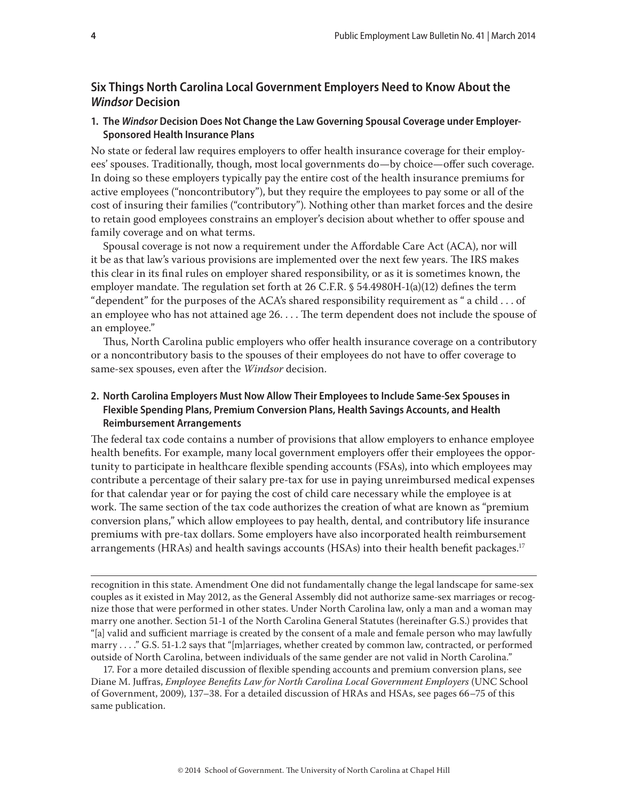# **Six Things North Carolina Local Government Employers Need to Know About the**  *Windsor* **Decision**

## **1. The** *Windsor* **Decision Does Not Change the Law Governing Spousal Coverage under Employer-Sponsored Health Insurance Plans**

No state or federal law requires employers to offer health insurance coverage for their employees' spouses. Traditionally, though, most local governments do—by choice—offer such coverage. In doing so these employers typically pay the entire cost of the health insurance premiums for active employees ("noncontributory"), but they require the employees to pay some or all of the cost of insuring their families ("contributory"). Nothing other than market forces and the desire to retain good employees constrains an employer's decision about whether to offer spouse and family coverage and on what terms.

Spousal coverage is not now a requirement under the Affordable Care Act (ACA), nor will it be as that law's various provisions are implemented over the next few years. The IRS makes this clear in its final rules on employer shared responsibility, or as it is sometimes known, the employer mandate. The regulation set forth at 26 C.F.R. § 54.4980H-1(a)(12) defines the term "dependent" for the purposes of the ACA's shared responsibility requirement as " a child . . . of an employee who has not attained age 26. . . . The term dependent does not include the spouse of an employee."

Thus, North Carolina public employers who offer health insurance coverage on a contributory or a noncontributory basis to the spouses of their employees do not have to offer coverage to same-sex spouses, even after the *Windsor* decision.

## **2. North Carolina Employers Must Now Allow Their Employees to Include Same-Sex Spouses in Flexible Spending Plans, Premium Conversion Plans, Health Savings Accounts, and Health Reimbursement Arrangements**

The federal tax code contains a number of provisions that allow employers to enhance employee health benefits. For example, many local government employers offer their employees the opportunity to participate in healthcare flexible spending accounts (FSAs), into which employees may contribute a percentage of their salary pre-tax for use in paying unreimbursed medical expenses for that calendar year or for paying the cost of child care necessary while the employee is at work. The same section of the tax code authorizes the creation of what are known as "premium conversion plans," which allow employees to pay health, dental, and contributory life insurance premiums with pre-tax dollars. Some employers have also incorporated health reimbursement arrangements (HRAs) and health savings accounts (HSAs) into their health benefit packages.<sup>17</sup>

recognition in this state. Amendment One did not fundamentally change the legal landscape for same-sex couples as it existed in May 2012, as the General Assembly did not authorize same-sex marriages or recognize those that were performed in other states. Under North Carolina law, only a man and a woman may marry one another. Section 51-1 of the North Carolina General Statutes (hereinafter G.S.) provides that "[a] valid and sufficient marriage is created by the consent of a male and female person who may lawfully marry . . . ." G.S. 51-1.2 says that "[m]arriages, whether created by common law, contracted, or performed outside of North Carolina, between individuals of the same gender are not valid in North Carolina."

17. For a more detailed discussion of flexible spending accounts and premium conversion plans, see Diane M. Juffras, *Employee Benefits Law for North Carolina Local Government Employers* (UNC School of Government, 2009), 137–38. For a detailed discussion of HRAs and HSAs, see pages 66–75 of this same publication.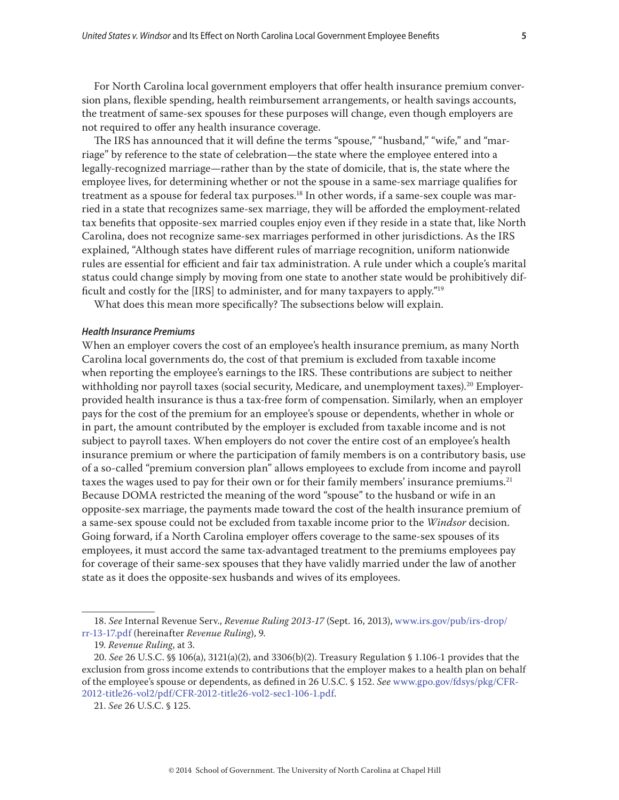For North Carolina local government employers that offer health insurance premium conversion plans, flexible spending, health reimbursement arrangements, or health savings accounts, the treatment of same-sex spouses for these purposes will change, even though employers are not required to offer any health insurance coverage.

The IRS has announced that it will define the terms "spouse," "husband," "wife," and "marriage" by reference to the state of celebration—the state where the employee entered into a legally-recognized marriage—rather than by the state of domicile, that is, the state where the employee lives, for determining whether or not the spouse in a same-sex marriage qualifies for treatment as a spouse for federal tax purposes.<sup>18</sup> In other words, if a same-sex couple was married in a state that recognizes same-sex marriage, they will be afforded the employment-related tax benefits that opposite-sex married couples enjoy even if they reside in a state that, like North Carolina, does not recognize same-sex marriages performed in other jurisdictions. As the IRS explained, "Although states have different rules of marriage recognition, uniform nationwide rules are essential for efficient and fair tax administration. A rule under which a couple's marital status could change simply by moving from one state to another state would be prohibitively difficult and costly for the [IRS] to administer, and for many taxpayers to apply."19

What does this mean more specifically? The subsections below will explain.

#### *Health Insurance Premiums*

When an employer covers the cost of an employee's health insurance premium, as many North Carolina local governments do, the cost of that premium is excluded from taxable income when reporting the employee's earnings to the IRS. These contributions are subject to neither withholding nor payroll taxes (social security, Medicare, and unemployment taxes).<sup>20</sup> Employerprovided health insurance is thus a tax-free form of compensation. Similarly, when an employer pays for the cost of the premium for an employee's spouse or dependents, whether in whole or in part, the amount contributed by the employer is excluded from taxable income and is not subject to payroll taxes. When employers do not cover the entire cost of an employee's health insurance premium or where the participation of family members is on a contributory basis, use of a so-called "premium conversion plan" allows employees to exclude from income and payroll taxes the wages used to pay for their own or for their family members' insurance premiums.<sup>21</sup> Because DOMA restricted the meaning of the word "spouse" to the husband or wife in an opposite-sex marriage, the payments made toward the cost of the health insurance premium of a same-sex spouse could not be excluded from taxable income prior to the *Windsor* decision. Going forward, if a North Carolina employer offers coverage to the same-sex spouses of its employees, it must accord the same tax-advantaged treatment to the premiums employees pay for coverage of their same-sex spouses that they have validly married under the law of another state as it does the opposite-sex husbands and wives of its employees.

<sup>18.</sup> *See* Internal Revenue Serv., *Revenue Ruling 2013-17* (Sept. 16, 2013), www.irs.gov/pub/irs-drop/ rr-13-17.pdf (hereinafter *Revenue Ruling*), 9.

<sup>19.</sup> *Revenue Ruling*, at 3.

<sup>20.</sup> *See* 26 U.S.C. §§ 106(a), 3121(a)(2), and 3306(b)(2). Treasury Regulation § 1.106-1 provides that the exclusion from gross income extends to contributions that the employer makes to a health plan on behalf of the employee's spouse or dependents, as defined in 26 U.S.C. § 152. *See* www.gpo.gov/fdsys/pkg/CFR-2012-title26-vol2/pdf/CFR-2012-title26-vol2-sec1-106-1.pdf.

<sup>21.</sup> *See* 26 U.S.C. § 125.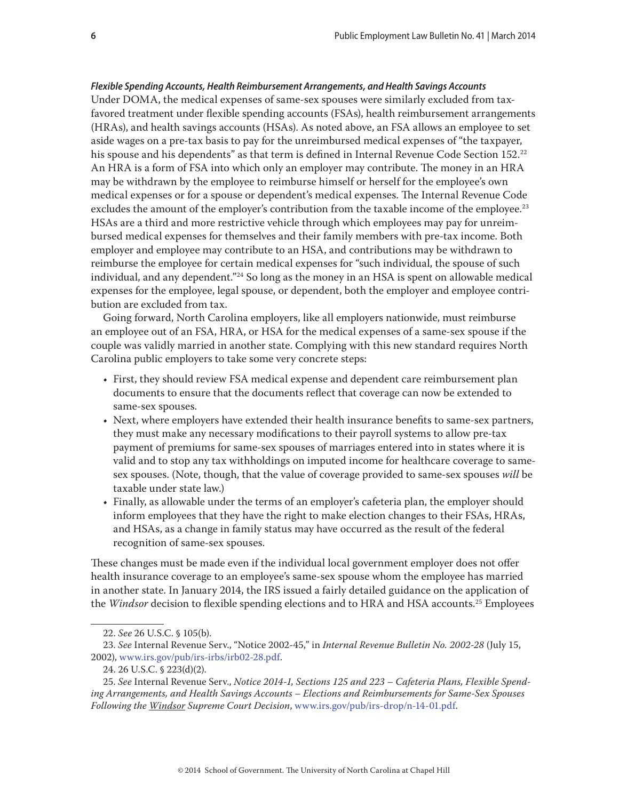# *Flexible Spending Accounts, Health Reimbursement Arrangements, and Health Savings Accounts*

Under DOMA, the medical expenses of same-sex spouses were similarly excluded from taxfavored treatment under flexible spending accounts (FSAs), health reimbursement arrangements (HRAs), and health savings accounts (HSAs). As noted above, an FSA allows an employee to set aside wages on a pre-tax basis to pay for the unreimbursed medical expenses of "the taxpayer, his spouse and his dependents" as that term is defined in Internal Revenue Code Section  $152.^{22}$ An HRA is a form of FSA into which only an employer may contribute. The money in an HRA may be withdrawn by the employee to reimburse himself or herself for the employee's own medical expenses or for a spouse or dependent's medical expenses. The Internal Revenue Code excludes the amount of the employer's contribution from the taxable income of the employee.<sup>23</sup> HSAs are a third and more restrictive vehicle through which employees may pay for unreimbursed medical expenses for themselves and their family members with pre-tax income. Both employer and employee may contribute to an HSA, and contributions may be withdrawn to reimburse the employee for certain medical expenses for "such individual, the spouse of such individual, and any dependent."<sup>24</sup> So long as the money in an HSA is spent on allowable medical expenses for the employee, legal spouse, or dependent, both the employer and employee contribution are excluded from tax.

Going forward, North Carolina employers, like all employers nationwide, must reimburse an employee out of an FSA, HRA, or HSA for the medical expenses of a same-sex spouse if the couple was validly married in another state. Complying with this new standard requires North Carolina public employers to take some very concrete steps:

- First, they should review FSA medical expense and dependent care reimbursement plan documents to ensure that the documents reflect that coverage can now be extended to same-sex spouses.
- Next, where employers have extended their health insurance benefits to same-sex partners, they must make any necessary modifications to their payroll systems to allow pre-tax payment of premiums for same-sex spouses of marriages entered into in states where it is valid and to stop any tax withholdings on imputed income for healthcare coverage to samesex spouses. (Note, though, that the value of coverage provided to same-sex spouses *will* be taxable under state law.)
- Finally, as allowable under the terms of an employer's cafeteria plan, the employer should inform employees that they have the right to make election changes to their FSAs, HRAs, and HSAs, as a change in family status may have occurred as the result of the federal recognition of same-sex spouses.

These changes must be made even if the individual local government employer does not offer health insurance coverage to an employee's same-sex spouse whom the employee has married in another state. In January 2014, the IRS issued a fairly detailed guidance on the application of the *Windsor* decision to flexible spending elections and to HRA and HSA accounts.<sup>25</sup> Employees

<sup>22.</sup> *See* 26 U.S.C. § 105(b).

<sup>23.</sup> *See* Internal Revenue Serv., "Notice 2002-45," in *Internal Revenue Bulletin No. 2002-28* (July 15, 2002), www.irs.gov/pub/irs-irbs/irb02-28.pdf.

<sup>24. 26</sup> U.S.C. § 223(d)(2).

<sup>25.</sup> *See* Internal Revenue Serv., *Notice 2014-1, Sections 125 and 223 – Cafeteria Plans, Flexible Spending Arrangements, and Health Savings Accounts – Elections and Reimbursements for Same-Sex Spouses Following the Windsor Supreme Court Decision*, [www.irs.gov/pub/irs-drop/n-14-01.pdf.](www.irs.gov/pub/irs-drop/n-14-01.pdf)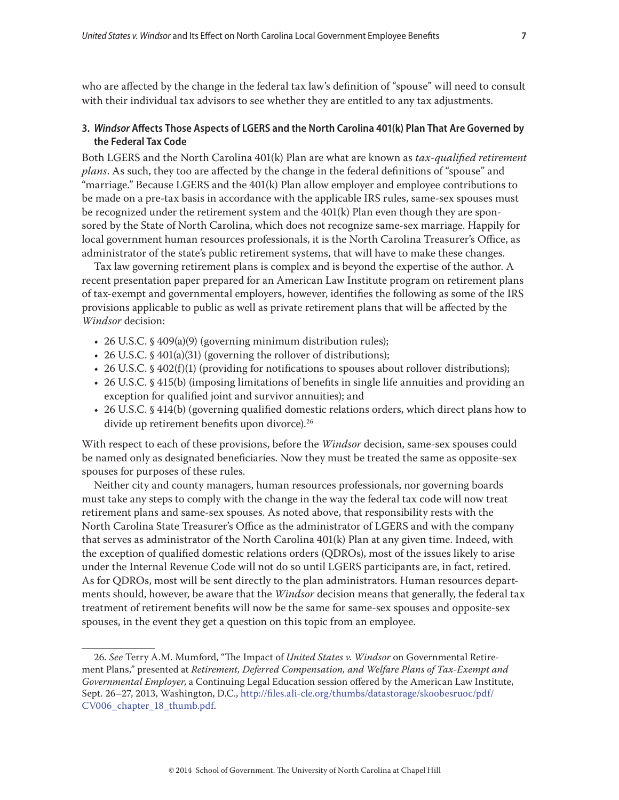who are affected by the change in the federal tax law's definition of "spouse" will need to consult with their individual tax advisors to see whether they are entitled to any tax adjustments.

## **3.** *Windsor* **Affects Those Aspects of LGERS and the North Carolina 401(k) Plan That Are Governed by the Federal Tax Code**

Both LGERS and the North Carolina 401(k) Plan are what are known as *tax-qualified retirement plans*. As such, they too are affected by the change in the federal definitions of "spouse" and "marriage." Because LGERS and the 401(k) Plan allow employer and employee contributions to be made on a pre-tax basis in accordance with the applicable IRS rules, same-sex spouses must be recognized under the retirement system and the 401(k) Plan even though they are sponsored by the State of North Carolina, which does not recognize same-sex marriage. Happily for local government human resources professionals, it is the North Carolina Treasurer's Office, as administrator of the state's public retirement systems, that will have to make these changes.

Tax law governing retirement plans is complex and is beyond the expertise of the author. A recent presentation paper prepared for an American Law Institute program on retirement plans of tax-exempt and governmental employers, however, identifies the following as some of the IRS provisions applicable to public as well as private retirement plans that will be affected by the *Windsor* decision:

- 26 U.S.C. § 409(a)(9) (governing minimum distribution rules);
- 26 U.S.C. § 401(a)(31) (governing the rollover of distributions);
- 26 U.S.C. § 402 $(f)(1)$  (providing for notifications to spouses about rollover distributions);
- 26 U.S.C. § 415(b) (imposing limitations of benefits in single life annuities and providing an exception for qualified joint and survivor annuities); and
- 26 U.S.C. § 414(b) (governing qualified domestic relations orders, which direct plans how to divide up retirement benefits upon divorce).<sup>26</sup>

With respect to each of these provisions, before the *Windsor* decision, same-sex spouses could be named only as designated beneficiaries. Now they must be treated the same as opposite-sex spouses for purposes of these rules.

Neither city and county managers, human resources professionals, nor governing boards must take any steps to comply with the change in the way the federal tax code will now treat retirement plans and same-sex spouses. As noted above, that responsibility rests with the North Carolina State Treasurer's Office as the administrator of LGERS and with the company that serves as administrator of the North Carolina 401(k) Plan at any given time. Indeed, with the exception of qualified domestic relations orders (QDROs), most of the issues likely to arise under the Internal Revenue Code will not do so until LGERS participants are, in fact, retired. As for QDROs, most will be sent directly to the plan administrators. Human resources departments should, however, be aware that the *Windsor* decision means that generally, the federal tax treatment of retirement benefits will now be the same for same-sex spouses and opposite-sex spouses, in the event they get a question on this topic from an employee.

<sup>26</sup>*. See* Terry A.M. Mumford, "The Impact of *United States v. Windsor* on Governmental Retirement Plans," presented at *Retirement, Deferred Compensation, and Welfare Plans of Tax-Exempt and Governmental Employer*, a Continuing Legal Education session offered by the American Law Institute, Sept. 26–27, 2013, Washington, D.C., [http://files.ali-cle.org/thumbs/datastorage/skoobesruoc/pdf/](http://files.ali-cle.org/thumbs/datastorage/skoobesruoc/pdf/CV006_chapter_18_thumb.pdf) [CV006\\_chapter\\_18\\_thumb.pdf.](http://files.ali-cle.org/thumbs/datastorage/skoobesruoc/pdf/CV006_chapter_18_thumb.pdf)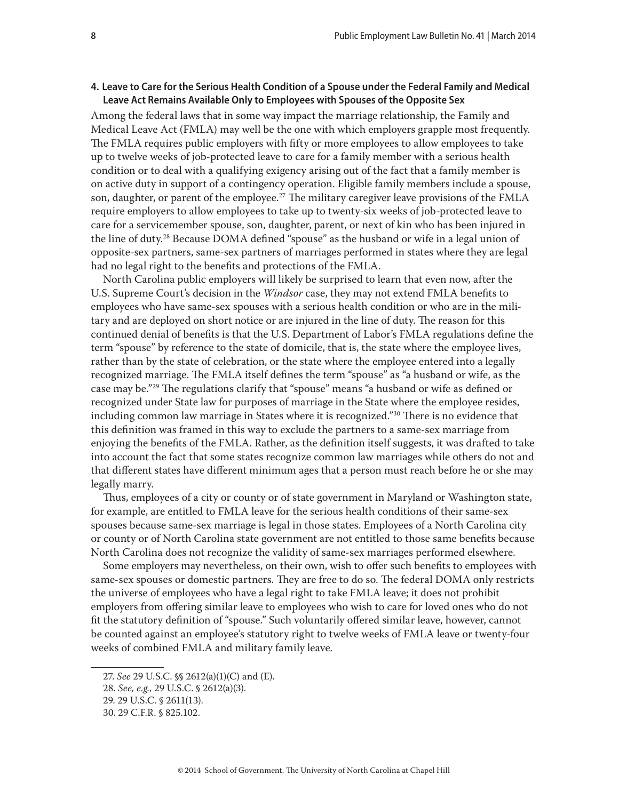## **4. Leave to Care for the Serious Health Condition of a Spouse under the Federal Family and Medical Leave Act Remains Available Only to Employees with Spouses of the Opposite Sex**

Among the federal laws that in some way impact the marriage relationship, the Family and Medical Leave Act (FMLA) may well be the one with which employers grapple most frequently. The FMLA requires public employers with fifty or more employees to allow employees to take up to twelve weeks of job-protected leave to care for a family member with a serious health condition or to deal with a qualifying exigency arising out of the fact that a family member is on active duty in support of a contingency operation. Eligible family members include a spouse, son, daughter, or parent of the employee.<sup>27</sup> The military caregiver leave provisions of the FMLA require employers to allow employees to take up to twenty-six weeks of job-protected leave to care for a servicemember spouse, son, daughter, parent, or next of kin who has been injured in the line of duty.28 Because DOMA defined "spouse" as the husband or wife in a legal union of opposite-sex partners, same-sex partners of marriages performed in states where they are legal had no legal right to the benefits and protections of the FMLA.

North Carolina public employers will likely be surprised to learn that even now, after the U.S. Supreme Court's decision in the *Windsor* case, they may not extend FMLA benefits to employees who have same-sex spouses with a serious health condition or who are in the military and are deployed on short notice or are injured in the line of duty. The reason for this continued denial of benefits is that the U.S. Department of Labor's FMLA regulations define the term "spouse" by reference to the state of domicile, that is, the state where the employee lives, rather than by the state of celebration, or the state where the employee entered into a legally recognized marriage. The FMLA itself defines the term "spouse" as "a husband or wife, as the case may be."29 The regulations clarify that "spouse" means "a husband or wife as defined or recognized under State law for purposes of marriage in the State where the employee resides, including common law marriage in States where it is recognized."30 There is no evidence that this definition was framed in this way to exclude the partners to a same-sex marriage from enjoying the benefits of the FMLA. Rather, as the definition itself suggests, it was drafted to take into account the fact that some states recognize common law marriages while others do not and that different states have different minimum ages that a person must reach before he or she may legally marry.

Thus, employees of a city or county or of state government in Maryland or Washington state, for example, are entitled to FMLA leave for the serious health conditions of their same-sex spouses because same-sex marriage is legal in those states. Employees of a North Carolina city or county or of North Carolina state government are not entitled to those same benefits because North Carolina does not recognize the validity of same-sex marriages performed elsewhere.

Some employers may nevertheless, on their own, wish to offer such benefits to employees with same-sex spouses or domestic partners. They are free to do so. The federal DOMA only restricts the universe of employees who have a legal right to take FMLA leave; it does not prohibit employers from offering similar leave to employees who wish to care for loved ones who do not fit the statutory definition of "spouse." Such voluntarily offered similar leave, however, cannot be counted against an employee's statutory right to twelve weeks of FMLA leave or twenty-four weeks of combined FMLA and military family leave.

<sup>27.</sup> *See* 29 U.S.C. §§ 2612(a)(1)(C) and (E).

<sup>28.</sup> *See, e.g.,* 29 U.S.C. § 2612(a)(3).

<sup>29. 29</sup> U.S.C. § 2611(13).

<sup>30. 29</sup> C.F.R. § 825.102.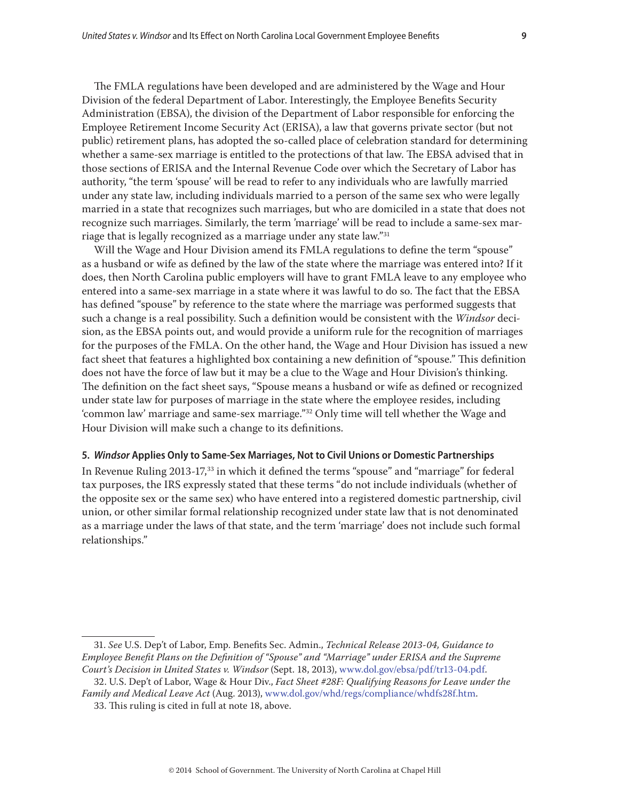The FMLA regulations have been developed and are administered by the Wage and Hour Division of the federal Department of Labor. Interestingly, the Employee Benefits Security Administration (EBSA), the division of the Department of Labor responsible for enforcing the Employee Retirement Income Security Act (ERISA), a law that governs private sector (but not public) retirement plans, has adopted the so-called place of celebration standard for determining whether a same-sex marriage is entitled to the protections of that law. The EBSA advised that in those sections of ERISA and the Internal Revenue Code over which the Secretary of Labor has authority, "the term 'spouse' will be read to refer to any individuals who are lawfully married under any state law, including individuals married to a person of the same sex who were legally married in a state that recognizes such marriages, but who are domiciled in a state that does not recognize such marriages. Similarly, the term 'marriage' will be read to include a same-sex marriage that is legally recognized as a marriage under any state law."31

Will the Wage and Hour Division amend its FMLA regulations to define the term "spouse" as a husband or wife as defined by the law of the state where the marriage was entered into? If it does, then North Carolina public employers will have to grant FMLA leave to any employee who entered into a same-sex marriage in a state where it was lawful to do so. The fact that the EBSA has defined "spouse" by reference to the state where the marriage was performed suggests that such a change is a real possibility. Such a definition would be consistent with the *Windsor* decision, as the EBSA points out, and would provide a uniform rule for the recognition of marriages for the purposes of the FMLA. On the other hand, the Wage and Hour Division has issued a new fact sheet that features a highlighted box containing a new definition of "spouse." This definition does not have the force of law but it may be a clue to the Wage and Hour Division's thinking. The definition on the fact sheet says, "Spouse means a husband or wife as defined or recognized under state law for purposes of marriage in the state where the employee resides, including 'common law' marriage and same-sex marriage."32 Only time will tell whether the Wage and Hour Division will make such a change to its definitions.

#### **5.** *Windsor* **Applies Only to Same-Sex Marriages, Not to Civil Unions or Domestic Partnerships**

In Revenue Ruling 2013-17,33 in which it defined the terms "spouse" and "marriage" for federal tax purposes, the IRS expressly stated that these terms "do not include individuals (whether of the opposite sex or the same sex) who have entered into a registered domestic partnership, civil union, or other similar formal relationship recognized under state law that is not denominated as a marriage under the laws of that state, and the term 'marriage' does not include such formal relationships."

<sup>31.</sup> *See* U.S. Dep't of Labor, Emp. Benefits Sec. Admin., *Technical Release 2013-04, Guidance to Employee Benefit Plans on the Definition of "Spouse" and "Marriage" under ERISA and the Supreme Court's Decision in United States v. Windsor* (Sept. 18, 2013), [www.dol.gov/ebsa/pdf/tr13-04.pdf.](www.dol.gov/ebsa/pdf/tr13-04.pdf)

<sup>32.</sup> U.S. Dep't of Labor, Wage & Hour Div., *Fact Sheet #28F: Qualifying Reasons for Leave under the Family and Medical Leave Act* (Aug. 2013), www.dol.gov/whd/regs/compliance/whdfs28f.htm.

<sup>33.</sup> This ruling is cited in full at note 18, above.